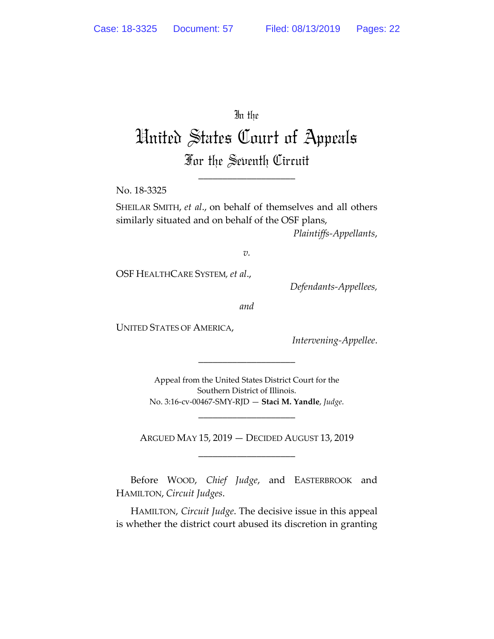## In the

# United States Court of Appeals For the Seventh Circuit

\_\_\_\_\_\_\_\_\_\_\_\_\_\_\_\_\_\_\_\_

No. 18-3325

SHEILAR SMITH, *et al*., on behalf of themselves and all others similarly situated and on behalf of the OSF plans,

*Plaintiffs-Appellants*,

*v.*

OSF HEALTHCARE SYSTEM*, et al*.,

*Defendants-Appellees,*

*and*

UNITED STATES OF AMERICA,

*Intervening-Appellee*.

Appeal from the United States District Court for the Southern District of Illinois. No. 3:16-cv-00467-SMY-RJD — **Staci M. Yandle**, *Judge*.

\_\_\_\_\_\_\_\_\_\_\_\_\_\_\_\_\_\_\_\_

ARGUED MAY 15, 2019 — DECIDED AUGUST 13, 2019 \_\_\_\_\_\_\_\_\_\_\_\_\_\_\_\_\_\_\_\_

\_\_\_\_\_\_\_\_\_\_\_\_\_\_\_\_\_\_\_\_

Before WOOD, *Chief Judge*, and EASTERBROOK and HAMILTON, *Circuit Judges*.

HAMILTON, *Circuit Judge*. The decisive issue in this appeal is whether the district court abused its discretion in granting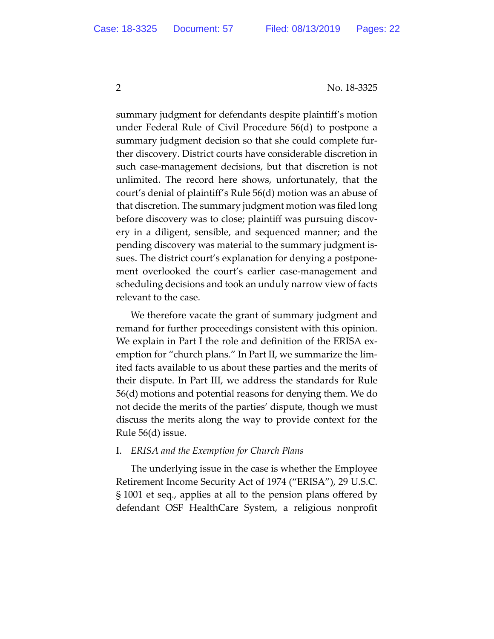summary judgment for defendants despite plaintiff's motion under Federal Rule of Civil Procedure 56(d) to postpone a summary judgment decision so that she could complete further discovery. District courts have considerable discretion in such case-management decisions, but that discretion is not unlimited. The record here shows, unfortunately, that the court's denial of plaintiff's Rule 56(d) motion was an abuse of that discretion. The summary judgment motion was filed long before discovery was to close; plaintiff was pursuing discovery in a diligent, sensible, and sequenced manner; and the pending discovery was material to the summary judgment issues. The district court's explanation for denying a postponement overlooked the court's earlier case-management and scheduling decisions and took an unduly narrow view of facts relevant to the case.

We therefore vacate the grant of summary judgment and remand for further proceedings consistent with this opinion. We explain in Part I the role and definition of the ERISA exemption for "church plans." In Part II, we summarize the limited facts available to us about these parties and the merits of their dispute. In Part III, we address the standards for Rule 56(d) motions and potential reasons for denying them. We do not decide the merits of the parties' dispute, though we must discuss the merits along the way to provide context for the Rule 56(d) issue.

#### I. *ERISA and the Exemption for Church Plans*

The underlying issue in the case is whether the Employee Retirement Income Security Act of 1974 ("ERISA"), 29 U.S.C. § 1001 et seq., applies at all to the pension plans offered by defendant OSF HealthCare System, a religious nonprofit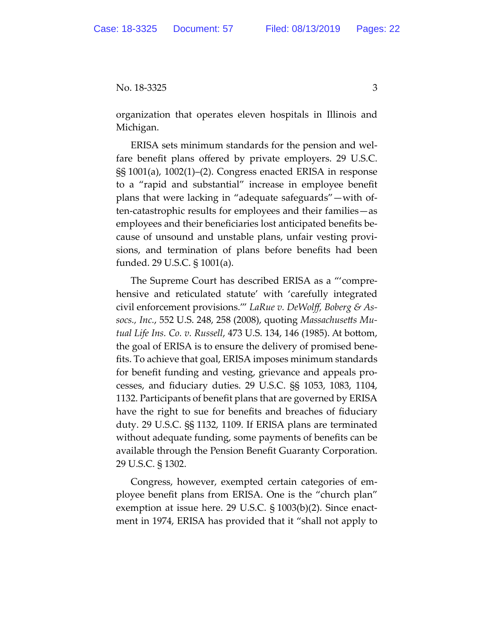organization that operates eleven hospitals in Illinois and Michigan.

ERISA sets minimum standards for the pension and welfare benefit plans offered by private employers. 29 U.S.C. §§ 1001(a), 1002(1)–(2). Congress enacted ERISA in response to a "rapid and substantial" increase in employee benefit plans that were lacking in "adequate safeguards"—with often-catastrophic results for employees and their families—as employees and their beneficiaries lost anticipated benefits because of unsound and unstable plans, unfair vesting provisions, and termination of plans before benefits had been funded. 29 U.S.C. § 1001(a).

The Supreme Court has described ERISA as a "'comprehensive and reticulated statute' with 'carefully integrated civil enforcement provisions.'" *LaRue v. DeWolff, Boberg & Assocs., Inc.*, 552 U.S. 248, 258 (2008), quoting *Massachusetts Mutual Life Ins. Co. v. Russell*, 473 U.S. 134, 146 (1985). At bottom, the goal of ERISA is to ensure the delivery of promised benefits. To achieve that goal, ERISA imposes minimum standards for benefit funding and vesting, grievance and appeals processes, and fiduciary duties. 29 U.S.C. §§ 1053, 1083, 1104, 1132. Participants of benefit plans that are governed by ERISA have the right to sue for benefits and breaches of fiduciary duty. 29 U.S.C. §§ 1132, 1109. If ERISA plans are terminated without adequate funding, some payments of benefits can be available through the Pension Benefit Guaranty Corporation. 29 U.S.C. § 1302.

Congress, however, exempted certain categories of employee benefit plans from ERISA. One is the "church plan" exemption at issue here. 29 U.S.C. § 1003(b)(2). Since enactment in 1974, ERISA has provided that it "shall not apply to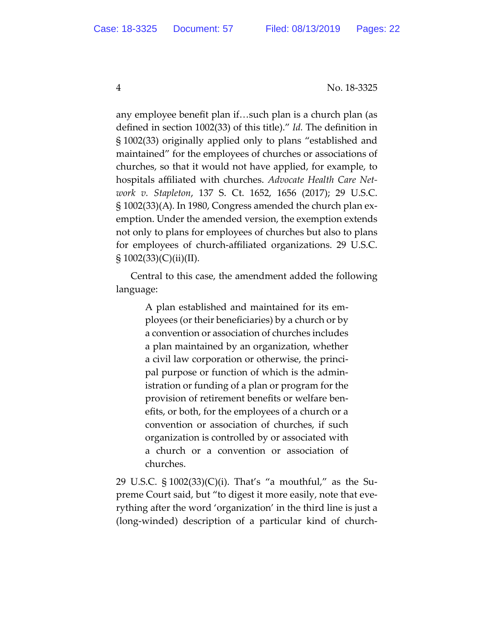any employee benefit plan if…such plan is a church plan (as defined in section 1002(33) of this title)." *Id.* The definition in § 1002(33) originally applied only to plans "established and maintained" for the employees of churches or associations of churches, so that it would not have applied, for example, to hospitals affiliated with churches. *Advocate Health Care Network v. Stapleton*, 137 S. Ct. 1652, 1656 (2017); 29 U.S.C. § 1002(33)(A). In 1980, Congress amended the church plan exemption. Under the amended version, the exemption extends not only to plans for employees of churches but also to plans for employees of church-affiliated organizations. 29 U.S.C.  $\S 1002(33)(C)(ii)(II).$ 

Central to this case, the amendment added the following language:

> A plan established and maintained for its employees (or their beneficiaries) by a church or by a convention or association of churches includes a plan maintained by an organization, whether a civil law corporation or otherwise, the principal purpose or function of which is the administration or funding of a plan or program for the provision of retirement benefits or welfare benefits, or both, for the employees of a church or a convention or association of churches, if such organization is controlled by or associated with a church or a convention or association of churches.

29 U.S.C. § 1002(33)(C)(i). That's "a mouthful," as the Supreme Court said, but "to digest it more easily, note that everything after the word 'organization' in the third line is just a (long-winded) description of a particular kind of church-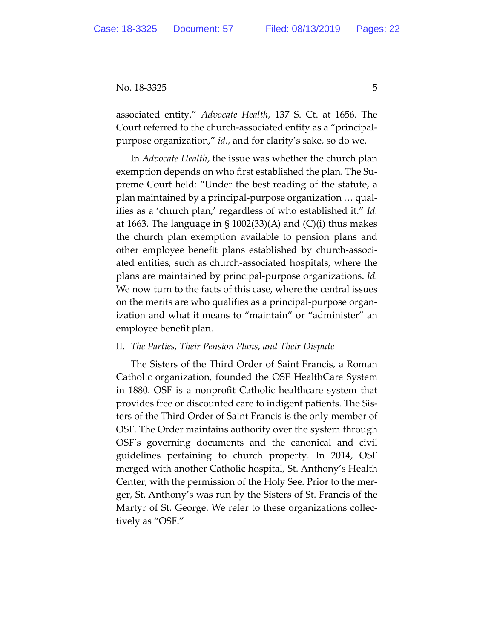associated entity." *Advocate Health*, 137 S. Ct. at 1656. The Court referred to the church-associated entity as a "principalpurpose organization," *id*., and for clarity's sake, so do we.

In *Advocate Health*, the issue was whether the church plan exemption depends on who first established the plan. The Supreme Court held: "Under the best reading of the statute, a plan maintained by a principal-purpose organization … qualifies as a 'church plan,' regardless of who established it." *Id.*  at 1663. The language in  $\S$  1002(33)(A) and (C)(i) thus makes the church plan exemption available to pension plans and other employee benefit plans established by church-associated entities, such as church-associated hospitals, where the plans are maintained by principal-purpose organizations. *Id.* We now turn to the facts of this case, where the central issues on the merits are who qualifies as a principal-purpose organization and what it means to "maintain" or "administer" an employee benefit plan.

# II. *The Parties, Their Pension Plans, and Their Dispute*

The Sisters of the Third Order of Saint Francis, a Roman Catholic organization, founded the OSF HealthCare System in 1880. OSF is a nonprofit Catholic healthcare system that provides free or discounted care to indigent patients. The Sisters of the Third Order of Saint Francis is the only member of OSF. The Order maintains authority over the system through OSF's governing documents and the canonical and civil guidelines pertaining to church property. In 2014, OSF merged with another Catholic hospital, St. Anthony's Health Center, with the permission of the Holy See. Prior to the merger, St. Anthony's was run by the Sisters of St. Francis of the Martyr of St. George. We refer to these organizations collectively as "OSF."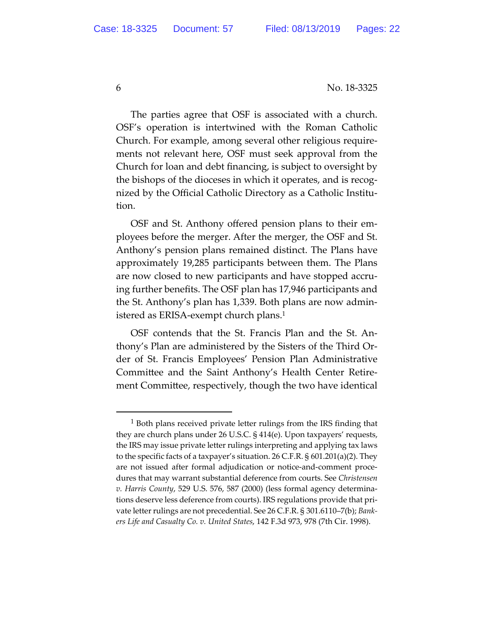The parties agree that OSF is associated with a church. OSF's operation is intertwined with the Roman Catholic Church. For example, among several other religious requirements not relevant here, OSF must seek approval from the Church for loan and debt financing, is subject to oversight by the bishops of the dioceses in which it operates, and is recognized by the Official Catholic Directory as a Catholic Institution.

OSF and St. Anthony offered pension plans to their employees before the merger. After the merger, the OSF and St. Anthony's pension plans remained distinct. The Plans have approximately 19,285 participants between them. The Plans are now closed to new participants and have stopped accruing further benefits. The OSF plan has 17,946 participants and the St. Anthony's plan has 1,339. Both plans are now administered as ERISA-exempt church plans.1

OSF contends that the St. Francis Plan and the St. Anthony's Plan are administered by the Sisters of the Third Order of St. Francis Employees' Pension Plan Administrative Committee and the Saint Anthony's Health Center Retirement Committee, respectively, though the two have identical

<sup>&</sup>lt;sup>1</sup> Both plans received private letter rulings from the IRS finding that they are church plans under 26 U.S.C. § 414(e). Upon taxpayers' requests, the IRS may issue private letter rulings interpreting and applying tax laws to the specific facts of a taxpayer's situation. 26 C.F.R. § 601.201(a)(2). They are not issued after formal adjudication or notice-and-comment procedures that may warrant substantial deference from courts. See *Christensen v. Harris County*, 529 U.S. 576, 587 (2000) (less formal agency determinations deserve less deference from courts). IRS regulations provide that private letter rulings are not precedential. See 26 C.F.R. § 301.6110–7(b); *Bankers Life and Casualty Co. v. United States*, 142 F.3d 973, 978 (7th Cir. 1998).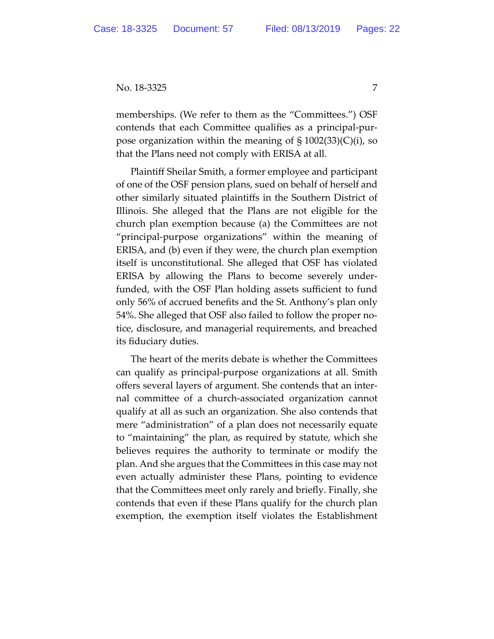memberships. (We refer to them as the "Committees.") OSF contends that each Committee qualifies as a principal-purpose organization within the meaning of  $\S 1002(33)(C)(i)$ , so that the Plans need not comply with ERISA at all.

Plaintiff Sheilar Smith, a former employee and participant of one of the OSF pension plans, sued on behalf of herself and other similarly situated plaintiffs in the Southern District of Illinois. She alleged that the Plans are not eligible for the church plan exemption because (a) the Committees are not "principal-purpose organizations" within the meaning of ERISA, and (b) even if they were, the church plan exemption itself is unconstitutional. She alleged that OSF has violated ERISA by allowing the Plans to become severely underfunded, with the OSF Plan holding assets sufficient to fund only 56% of accrued benefits and the St. Anthony's plan only 54%. She alleged that OSF also failed to follow the proper notice, disclosure, and managerial requirements, and breached its fiduciary duties.

The heart of the merits debate is whether the Committees can qualify as principal-purpose organizations at all. Smith offers several layers of argument. She contends that an internal committee of a church-associated organization cannot qualify at all as such an organization. She also contends that mere "administration" of a plan does not necessarily equate to "maintaining" the plan, as required by statute, which she believes requires the authority to terminate or modify the plan. And she argues that the Committees in this case may not even actually administer these Plans, pointing to evidence that the Committees meet only rarely and briefly. Finally, she contends that even if these Plans qualify for the church plan exemption, the exemption itself violates the Establishment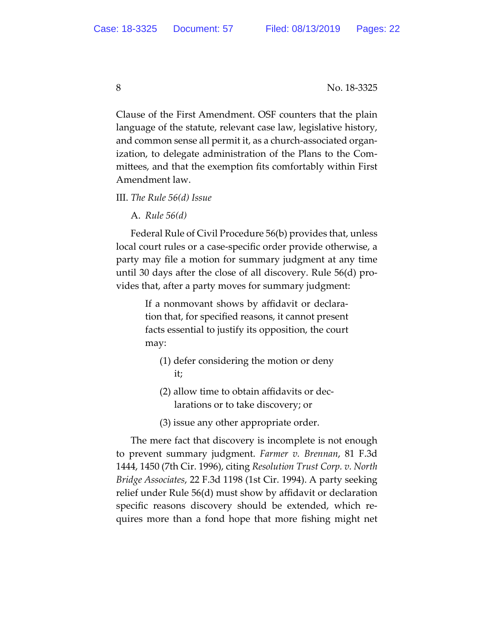Clause of the First Amendment. OSF counters that the plain language of the statute, relevant case law, legislative history, and common sense all permit it, as a church-associated organization, to delegate administration of the Plans to the Committees, and that the exemption fits comfortably within First Amendment law.

III. *The Rule 56(d) Issue* 

A. *Rule 56(d)* 

Federal Rule of Civil Procedure 56(b) provides that, unless local court rules or a case-specific order provide otherwise, a party may file a motion for summary judgment at any time until 30 days after the close of all discovery. Rule 56(d) provides that, after a party moves for summary judgment:

> If a nonmovant shows by affidavit or declaration that, for specified reasons, it cannot present facts essential to justify its opposition, the court may:

- (1) defer considering the motion or deny it;
- (2) allow time to obtain affidavits or declarations or to take discovery; or
- (3) issue any other appropriate order.

The mere fact that discovery is incomplete is not enough to prevent summary judgment. *Farmer v. Brennan*, 81 F.3d 1444, 1450 (7th Cir. 1996), citing *Resolution Trust Corp. v. North Bridge Associates*, 22 F.3d 1198 (1st Cir. 1994). A party seeking relief under Rule 56(d) must show by affidavit or declaration specific reasons discovery should be extended, which requires more than a fond hope that more fishing might net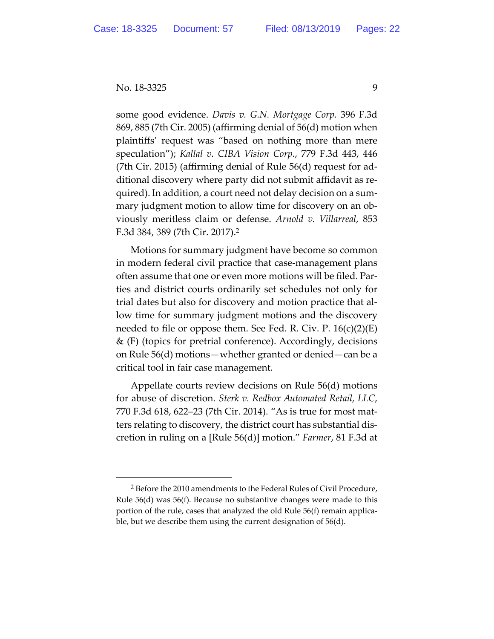some good evidence. *Davis v. G.N. Mortgage Corp.* 396 F.3d 869, 885 (7th Cir. 2005) (affirming denial of 56(d) motion when plaintiffs' request was "based on nothing more than mere speculation"); *Kallal v. CIBA Vision Corp.*, 779 F.3d 443, 446 (7th Cir. 2015) (affirming denial of Rule 56(d) request for additional discovery where party did not submit affidavit as required). In addition, a court need not delay decision on a summary judgment motion to allow time for discovery on an obviously meritless claim or defense. *Arnold v. Villarreal*, 853 F.3d 384, 389 (7th Cir. 2017).2

Motions for summary judgment have become so common in modern federal civil practice that case-management plans often assume that one or even more motions will be filed. Parties and district courts ordinarily set schedules not only for trial dates but also for discovery and motion practice that allow time for summary judgment motions and the discovery needed to file or oppose them. See Fed. R. Civ. P.  $16(c)(2)(E)$ & (F) (topics for pretrial conference). Accordingly, decisions on Rule 56(d) motions—whether granted or denied—can be a critical tool in fair case management.

Appellate courts review decisions on Rule 56(d) motions for abuse of discretion. *Sterk v. Redbox Automated Retail, LLC*, 770 F.3d 618, 622–23 (7th Cir. 2014). "As is true for most matters relating to discovery, the district court has substantial discretion in ruling on a [Rule 56(d)] motion." *Farmer*, 81 F.3d at

 <sup>2</sup> Before the 2010 amendments to the Federal Rules of Civil Procedure, Rule 56(d) was 56(f). Because no substantive changes were made to this portion of the rule, cases that analyzed the old Rule 56(f) remain applicable, but we describe them using the current designation of 56(d).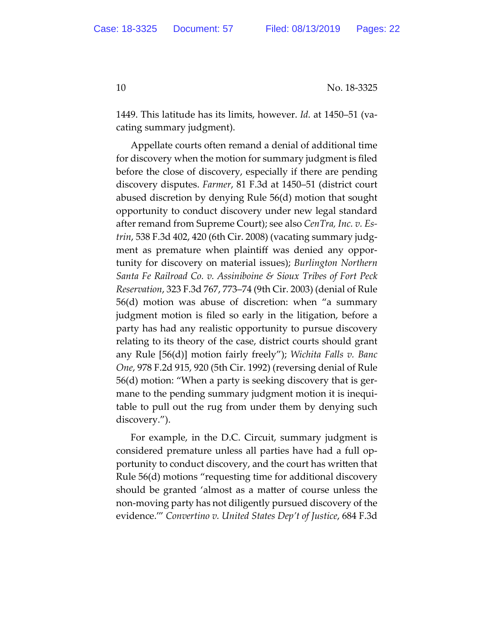1449. This latitude has its limits, however. *Id.* at 1450–51 (vacating summary judgment).

Appellate courts often remand a denial of additional time for discovery when the motion for summary judgment is filed before the close of discovery, especially if there are pending discovery disputes. *Farmer*, 81 F.3d at 1450–51 (district court abused discretion by denying Rule 56(d) motion that sought opportunity to conduct discovery under new legal standard after remand from Supreme Court); see also *CenTra, Inc. v. Estrin*, 538 F.3d 402, 420 (6th Cir. 2008) (vacating summary judgment as premature when plaintiff was denied any opportunity for discovery on material issues); *Burlington Northern Santa Fe Railroad Co. v. Assiniboine & Sioux Tribes of Fort Peck Reservation*, 323 F.3d 767, 773–74 (9th Cir. 2003) (denial of Rule 56(d) motion was abuse of discretion: when "a summary judgment motion is filed so early in the litigation, before a party has had any realistic opportunity to pursue discovery relating to its theory of the case, district courts should grant any Rule [56(d)] motion fairly freely"); *Wichita Falls v. Banc One*, 978 F.2d 915, 920 (5th Cir. 1992) (reversing denial of Rule 56(d) motion: "When a party is seeking discovery that is germane to the pending summary judgment motion it is inequitable to pull out the rug from under them by denying such discovery.").

For example, in the D.C. Circuit, summary judgment is considered premature unless all parties have had a full opportunity to conduct discovery, and the court has written that Rule 56(d) motions "requesting time for additional discovery should be granted 'almost as a matter of course unless the non-moving party has not diligently pursued discovery of the evidence.'" *Convertino v. United States Dep't of Justice*, 684 F.3d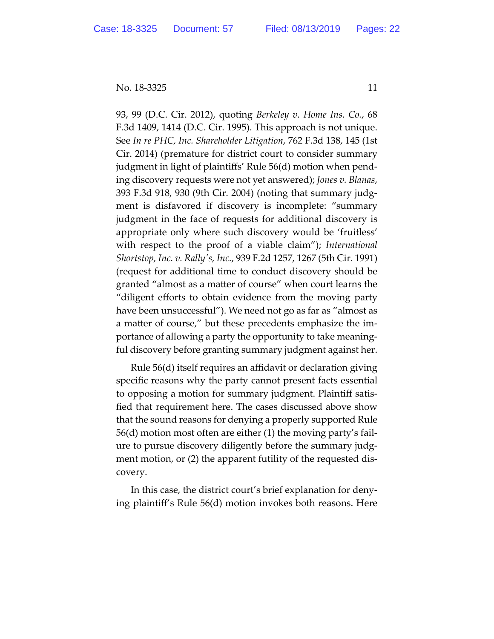93, 99 (D.C. Cir. 2012), quoting *Berkeley v. Home Ins. Co.*, 68 F.3d 1409, 1414 (D.C. Cir. 1995). This approach is not unique. See *In re PHC, Inc. Shareholder Litigation*, 762 F.3d 138, 145 (1st Cir. 2014) (premature for district court to consider summary judgment in light of plaintiffs' Rule 56(d) motion when pending discovery requests were not yet answered); *Jones v. Blanas*, 393 F.3d 918, 930 (9th Cir. 2004) (noting that summary judgment is disfavored if discovery is incomplete: "summary judgment in the face of requests for additional discovery is appropriate only where such discovery would be 'fruitless' with respect to the proof of a viable claim"); *International Shortstop, Inc. v. Rallyʹs, Inc.*, 939 F.2d 1257, 1267 (5th Cir. 1991) (request for additional time to conduct discovery should be granted "almost as a matter of course" when court learns the "diligent efforts to obtain evidence from the moving party have been unsuccessful"). We need not go as far as "almost as a matter of course," but these precedents emphasize the importance of allowing a party the opportunity to take meaningful discovery before granting summary judgment against her.

Rule 56(d) itself requires an affidavit or declaration giving specific reasons why the party cannot present facts essential to opposing a motion for summary judgment. Plaintiff satisfied that requirement here. The cases discussed above show that the sound reasons for denying a properly supported Rule 56(d) motion most often are either (1) the moving party's failure to pursue discovery diligently before the summary judgment motion, or (2) the apparent futility of the requested discovery.

In this case, the district court's brief explanation for denying plaintiff's Rule 56(d) motion invokes both reasons. Here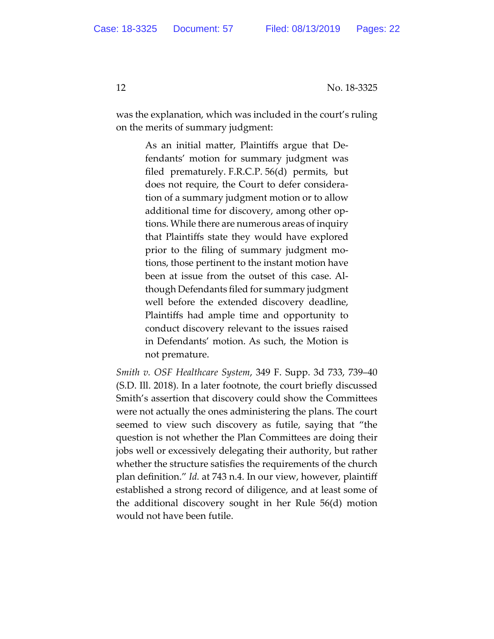was the explanation, which was included in the court's ruling on the merits of summary judgment:

> As an initial matter, Plaintiffs argue that Defendants' motion for summary judgment was filed prematurely. F.R.C.P. 56(d) permits, but does not require, the Court to defer consideration of a summary judgment motion or to allow additional time for discovery, among other options. While there are numerous areas of inquiry that Plaintiffs state they would have explored prior to the filing of summary judgment motions, those pertinent to the instant motion have been at issue from the outset of this case. Although Defendants filed for summary judgment well before the extended discovery deadline, Plaintiffs had ample time and opportunity to conduct discovery relevant to the issues raised in Defendants' motion. As such, the Motion is not premature.

*Smith v. OSF Healthcare System*, 349 F. Supp. 3d 733, 739–40 (S.D. Ill. 2018). In a later footnote, the court briefly discussed Smith's assertion that discovery could show the Committees were not actually the ones administering the plans. The court seemed to view such discovery as futile, saying that "the question is not whether the Plan Committees are doing their jobs well or excessively delegating their authority, but rather whether the structure satisfies the requirements of the church plan definition." *Id.* at 743 n.4. In our view, however, plaintiff established a strong record of diligence, and at least some of the additional discovery sought in her Rule 56(d) motion would not have been futile.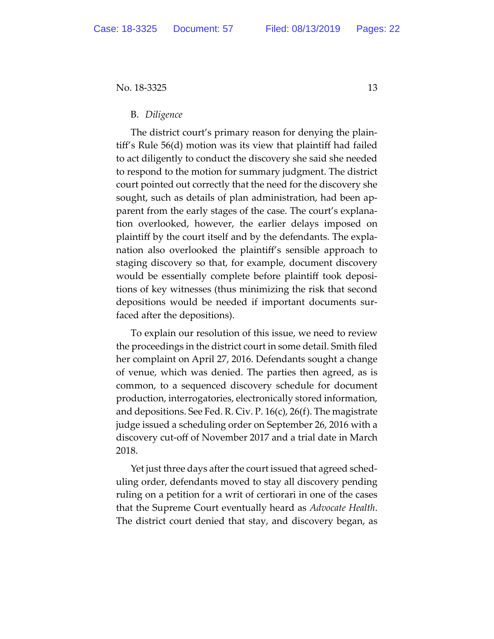### B. *Diligence*

The district court's primary reason for denying the plaintiff's Rule 56(d) motion was its view that plaintiff had failed to act diligently to conduct the discovery she said she needed to respond to the motion for summary judgment. The district court pointed out correctly that the need for the discovery she sought, such as details of plan administration, had been apparent from the early stages of the case. The court's explanation overlooked, however, the earlier delays imposed on plaintiff by the court itself and by the defendants. The explanation also overlooked the plaintiff's sensible approach to staging discovery so that, for example, document discovery would be essentially complete before plaintiff took depositions of key witnesses (thus minimizing the risk that second depositions would be needed if important documents surfaced after the depositions).

To explain our resolution of this issue, we need to review the proceedings in the district court in some detail. Smith filed her complaint on April 27, 2016. Defendants sought a change of venue, which was denied. The parties then agreed, as is common, to a sequenced discovery schedule for document production, interrogatories, electronically stored information, and depositions. See Fed. R. Civ. P. 16(c), 26(f). The magistrate judge issued a scheduling order on September 26, 2016 with a discovery cut-off of November 2017 and a trial date in March 2018.

Yet just three days after the court issued that agreed scheduling order, defendants moved to stay all discovery pending ruling on a petition for a writ of certiorari in one of the cases that the Supreme Court eventually heard as *Advocate Health*. The district court denied that stay, and discovery began, as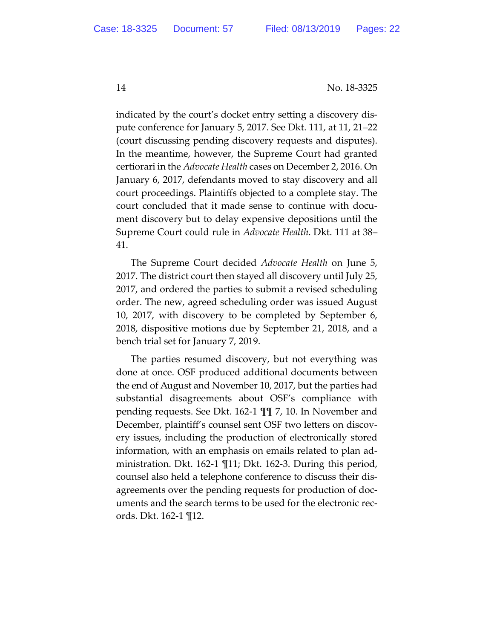indicated by the court's docket entry setting a discovery dispute conference for January 5, 2017. See Dkt. 111, at 11, 21–22 (court discussing pending discovery requests and disputes). In the meantime, however, the Supreme Court had granted certiorari in the *Advocate Health* cases on December 2, 2016. On January 6, 2017, defendants moved to stay discovery and all court proceedings. Plaintiffs objected to a complete stay. The court concluded that it made sense to continue with document discovery but to delay expensive depositions until the Supreme Court could rule in *Advocate Health*. Dkt. 111 at 38– 41.

The Supreme Court decided *Advocate Health* on June 5, 2017. The district court then stayed all discovery until July 25, 2017, and ordered the parties to submit a revised scheduling order. The new, agreed scheduling order was issued August 10, 2017, with discovery to be completed by September 6, 2018, dispositive motions due by September 21, 2018, and a bench trial set for January 7, 2019.

The parties resumed discovery, but not everything was done at once. OSF produced additional documents between the end of August and November 10, 2017, but the parties had substantial disagreements about OSF's compliance with pending requests. See Dkt. 162-1 ¶¶ 7, 10. In November and December, plaintiff's counsel sent OSF two letters on discovery issues, including the production of electronically stored information, with an emphasis on emails related to plan administration. Dkt. 162-1 ¶11; Dkt. 162-3. During this period, counsel also held a telephone conference to discuss their disagreements over the pending requests for production of documents and the search terms to be used for the electronic records. Dkt. 162-1 ¶12.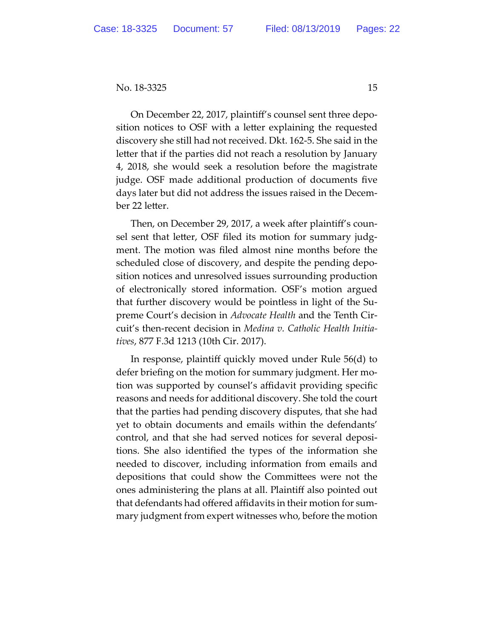On December 22, 2017, plaintiff's counsel sent three deposition notices to OSF with a letter explaining the requested discovery she still had not received. Dkt. 162-5. She said in the letter that if the parties did not reach a resolution by January 4, 2018, she would seek a resolution before the magistrate judge. OSF made additional production of documents five days later but did not address the issues raised in the December 22 letter.

Then, on December 29, 2017, a week after plaintiff's counsel sent that letter, OSF filed its motion for summary judgment. The motion was filed almost nine months before the scheduled close of discovery, and despite the pending deposition notices and unresolved issues surrounding production of electronically stored information. OSF's motion argued that further discovery would be pointless in light of the Supreme Court's decision in *Advocate Health* and the Tenth Circuit's then-recent decision in *Medina v. Catholic Health Initiatives*, 877 F.3d 1213 (10th Cir. 2017).

In response, plaintiff quickly moved under Rule 56(d) to defer briefing on the motion for summary judgment. Her motion was supported by counsel's affidavit providing specific reasons and needs for additional discovery. She told the court that the parties had pending discovery disputes, that she had yet to obtain documents and emails within the defendants' control, and that she had served notices for several depositions. She also identified the types of the information she needed to discover, including information from emails and depositions that could show the Committees were not the ones administering the plans at all. Plaintiff also pointed out that defendants had offered affidavits in their motion for summary judgment from expert witnesses who, before the motion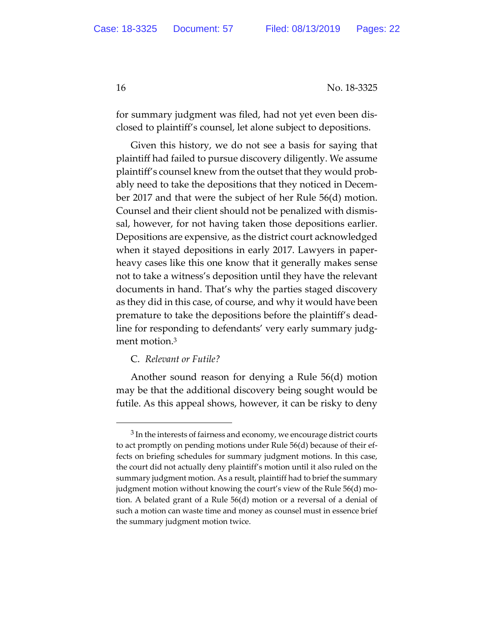for summary judgment was filed, had not yet even been disclosed to plaintiff's counsel, let alone subject to depositions.

Given this history, we do not see a basis for saying that plaintiff had failed to pursue discovery diligently. We assume plaintiff's counsel knew from the outset that they would probably need to take the depositions that they noticed in December 2017 and that were the subject of her Rule 56(d) motion. Counsel and their client should not be penalized with dismissal, however, for not having taken those depositions earlier. Depositions are expensive, as the district court acknowledged when it stayed depositions in early 2017. Lawyers in paperheavy cases like this one know that it generally makes sense not to take a witness's deposition until they have the relevant documents in hand. That's why the parties staged discovery as they did in this case, of course, and why it would have been premature to take the depositions before the plaintiff's deadline for responding to defendants' very early summary judgment motion.<sup>3</sup>

# C. *Relevant or Futile?*

Another sound reason for denying a Rule 56(d) motion may be that the additional discovery being sought would be futile. As this appeal shows, however, it can be risky to deny

<sup>&</sup>lt;sup>3</sup> In the interests of fairness and economy, we encourage district courts to act promptly on pending motions under Rule 56(d) because of their effects on briefing schedules for summary judgment motions. In this case, the court did not actually deny plaintiff's motion until it also ruled on the summary judgment motion. As a result, plaintiff had to brief the summary judgment motion without knowing the court's view of the Rule 56(d) motion. A belated grant of a Rule 56(d) motion or a reversal of a denial of such a motion can waste time and money as counsel must in essence brief the summary judgment motion twice.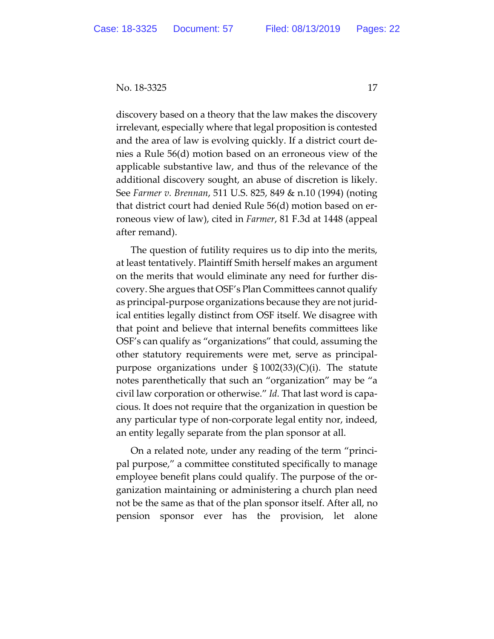discovery based on a theory that the law makes the discovery irrelevant, especially where that legal proposition is contested and the area of law is evolving quickly. If a district court denies a Rule 56(d) motion based on an erroneous view of the applicable substantive law, and thus of the relevance of the additional discovery sought, an abuse of discretion is likely. See *Farmer v. Brennan*, 511 U.S. 825, 849 & n.10 (1994) (noting that district court had denied Rule 56(d) motion based on erroneous view of law), cited in *Farmer*, 81 F.3d at 1448 (appeal after remand).

The question of futility requires us to dip into the merits, at least tentatively. Plaintiff Smith herself makes an argument on the merits that would eliminate any need for further discovery. She argues that OSF's Plan Committees cannot qualify as principal-purpose organizations because they are not juridical entities legally distinct from OSF itself. We disagree with that point and believe that internal benefits committees like OSF's can qualify as "organizations" that could, assuming the other statutory requirements were met, serve as principalpurpose organizations under  $\S 1002(33)(C)(i)$ . The statute notes parenthetically that such an "organization" may be "a civil law corporation or otherwise." *Id.* That last word is capacious. It does not require that the organization in question be any particular type of non-corporate legal entity nor, indeed, an entity legally separate from the plan sponsor at all.

On a related note, under any reading of the term "principal purpose," a committee constituted specifically to manage employee benefit plans could qualify. The purpose of the organization maintaining or administering a church plan need not be the same as that of the plan sponsor itself. After all, no pension sponsor ever has the provision, let alone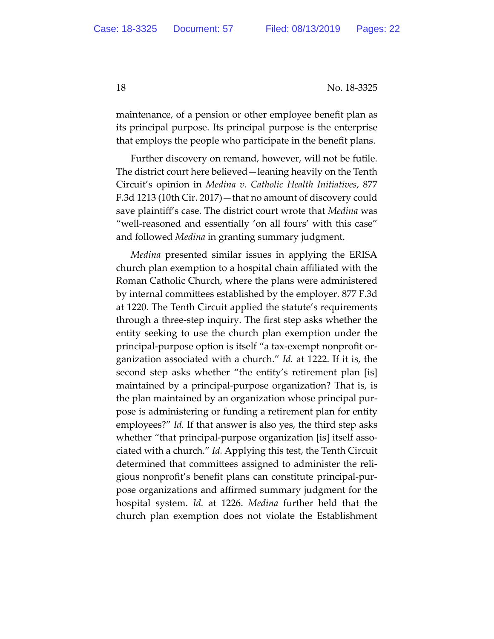maintenance, of a pension or other employee benefit plan as its principal purpose. Its principal purpose is the enterprise that employs the people who participate in the benefit plans.

Further discovery on remand, however, will not be futile. The district court here believed—leaning heavily on the Tenth Circuit's opinion in *Medina v. Catholic Health Initiatives*, 877 F.3d 1213 (10th Cir. 2017)—that no amount of discovery could save plaintiff's case. The district court wrote that *Medina* was "well-reasoned and essentially 'on all fours' with this case" and followed *Medina* in granting summary judgment.

*Medina* presented similar issues in applying the ERISA church plan exemption to a hospital chain affiliated with the Roman Catholic Church, where the plans were administered by internal committees established by the employer. 877 F.3d at 1220. The Tenth Circuit applied the statute's requirements through a three-step inquiry. The first step asks whether the entity seeking to use the church plan exemption under the principal-purpose option is itself "a tax-exempt nonprofit organization associated with a church." *Id.* at 1222. If it is, the second step asks whether "the entity's retirement plan [is] maintained by a principal-purpose organization? That is, is the plan maintained by an organization whose principal purpose is administering or funding a retirement plan for entity employees?" *Id.* If that answer is also yes, the third step asks whether "that principal-purpose organization [is] itself associated with a church." *Id.* Applying this test, the Tenth Circuit determined that committees assigned to administer the religious nonprofit's benefit plans can constitute principal-purpose organizations and affirmed summary judgment for the hospital system. *Id.* at 1226. *Medina* further held that the church plan exemption does not violate the Establishment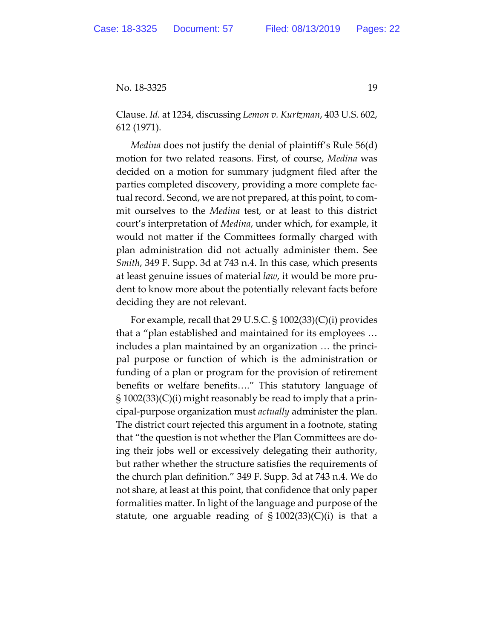Clause. *Id.* at 1234, discussing *Lemon v. Kurtzman*, 403 U.S. 602, 612 (1971).

*Medina* does not justify the denial of plaintiff's Rule 56(d) motion for two related reasons. First, of course, *Medina* was decided on a motion for summary judgment filed after the parties completed discovery, providing a more complete factual record. Second, we are not prepared, at this point, to commit ourselves to the *Medina* test, or at least to this district court's interpretation of *Medina*, under which, for example, it would not matter if the Committees formally charged with plan administration did not actually administer them. See *Smith*, 349 F. Supp. 3d at 743 n.4. In this case, which presents at least genuine issues of material *law*, it would be more prudent to know more about the potentially relevant facts before deciding they are not relevant.

For example, recall that 29 U.S.C. § 1002(33)(C)(i) provides that a "plan established and maintained for its employees … includes a plan maintained by an organization … the principal purpose or function of which is the administration or funding of a plan or program for the provision of retirement benefits or welfare benefits…." This statutory language of § 1002(33)(C)(i) might reasonably be read to imply that a principal-purpose organization must *actually* administer the plan. The district court rejected this argument in a footnote, stating that "the question is not whether the Plan Committees are doing their jobs well or excessively delegating their authority, but rather whether the structure satisfies the requirements of the church plan definition." 349 F. Supp. 3d at 743 n.4. We do not share, at least at this point, that confidence that only paper formalities matter. In light of the language and purpose of the statute, one arguable reading of  $\S 1002(33)(C)(i)$  is that a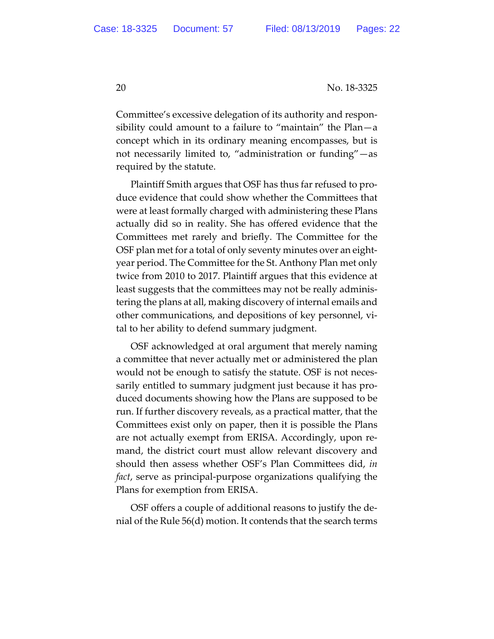Committee's excessive delegation of its authority and responsibility could amount to a failure to "maintain" the Plan—a concept which in its ordinary meaning encompasses, but is not necessarily limited to, "administration or funding"—as required by the statute.

Plaintiff Smith argues that OSF has thus far refused to produce evidence that could show whether the Committees that were at least formally charged with administering these Plans actually did so in reality. She has offered evidence that the Committees met rarely and briefly. The Committee for the OSF plan met for a total of only seventy minutes over an eightyear period. The Committee for the St. Anthony Plan met only twice from 2010 to 2017. Plaintiff argues that this evidence at least suggests that the committees may not be really administering the plans at all, making discovery of internal emails and other communications, and depositions of key personnel, vital to her ability to defend summary judgment.

OSF acknowledged at oral argument that merely naming a committee that never actually met or administered the plan would not be enough to satisfy the statute. OSF is not necessarily entitled to summary judgment just because it has produced documents showing how the Plans are supposed to be run. If further discovery reveals, as a practical matter, that the Committees exist only on paper, then it is possible the Plans are not actually exempt from ERISA. Accordingly, upon remand, the district court must allow relevant discovery and should then assess whether OSF's Plan Committees did, *in fact*, serve as principal-purpose organizations qualifying the Plans for exemption from ERISA.

OSF offers a couple of additional reasons to justify the denial of the Rule 56(d) motion. It contends that the search terms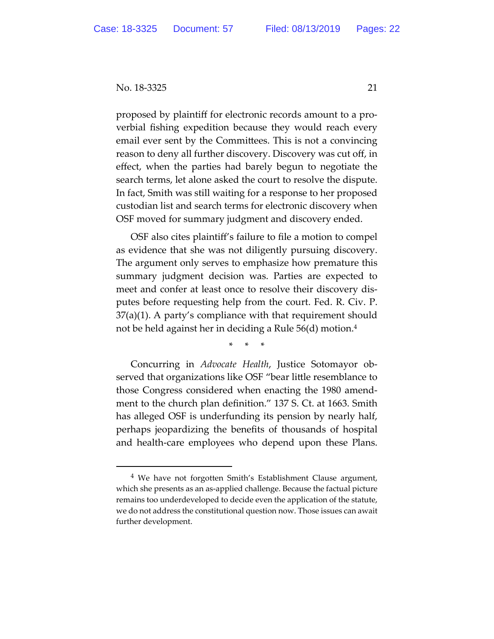proposed by plaintiff for electronic records amount to a proverbial fishing expedition because they would reach every email ever sent by the Committees. This is not a convincing reason to deny all further discovery. Discovery was cut off, in effect, when the parties had barely begun to negotiate the search terms, let alone asked the court to resolve the dispute. In fact, Smith was still waiting for a response to her proposed custodian list and search terms for electronic discovery when OSF moved for summary judgment and discovery ended.

OSF also cites plaintiff's failure to file a motion to compel as evidence that she was not diligently pursuing discovery. The argument only serves to emphasize how premature this summary judgment decision was. Parties are expected to meet and confer at least once to resolve their discovery disputes before requesting help from the court. Fed. R. Civ. P. 37(a)(1). A party's compliance with that requirement should not be held against her in deciding a Rule 56(d) motion.4

\* \* \*

Concurring in *Advocate Health*, Justice Sotomayor observed that organizations like OSF "bear little resemblance to those Congress considered when enacting the 1980 amendment to the church plan definition." 137 S. Ct. at 1663. Smith has alleged OSF is underfunding its pension by nearly half, perhaps jeopardizing the benefits of thousands of hospital and health-care employees who depend upon these Plans.

 <sup>4</sup> We have not forgotten Smith's Establishment Clause argument, which she presents as an as-applied challenge. Because the factual picture remains too underdeveloped to decide even the application of the statute, we do not address the constitutional question now. Those issues can await further development.